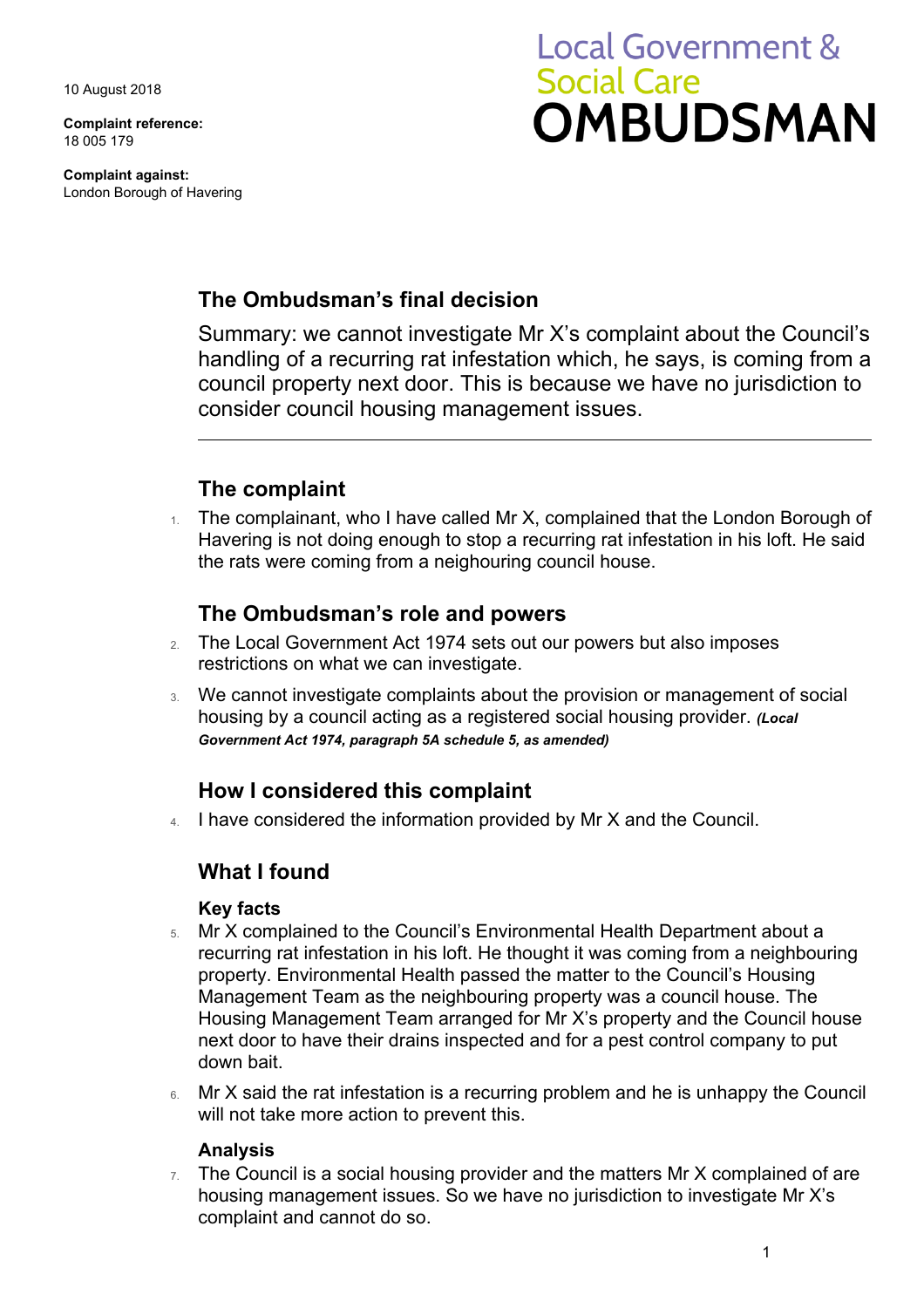10 August 2018

**Complaint reference:**  18 005 179

**Complaint against:**  London Borough of Havering

# **Local Government & Social Care OMBUDSMAN**

# **The Ombudsman's final decision**

Summary: we cannot investigate Mr X's complaint about the Council's handling of a recurring rat infestation which, he says, is coming from a council property next door. This is because we have no jurisdiction to consider council housing management issues.

# **The complaint**

The complainant, who I have called Mr X, complained that the London Borough of Havering is not doing enough to stop a recurring rat infestation in his loft. He said the rats were coming from a neighouring council house.

## **The Ombudsman's role and powers**

- 2. The Local Government Act 1974 sets out our powers but also imposes restrictions on what we can investigate.
- 3. We cannot investigate complaints about the provision or management of social housing by a council acting as a registered social housing provider. *(Local Government Act 1974, paragraph 5A schedule 5, as amended)*

### **How I considered this complaint**

4. I have considered the information provided by Mr X and the Council.

### **What I found**

#### **Key facts**

- Housing Management Team arranged for Mr X's property and the Council house next door to have their drains inspected and for a pest control company to put 5. Mr X complained to the Council's Environmental Health Department about a recurring rat infestation in his loft. He thought it was coming from a neighbouring property. Environmental Health passed the matter to the Council's Housing Management Team as the neighbouring property was a council house. The down bait.
- 6. Mr X said the rat infestation is a recurring problem and he is unhappy the Council will not take more action to prevent this.

#### **Analysis**

 $7.$  The Council is a social housing provider and the matters Mr X complained of are housing management issues. So we have no jurisdiction to investigate Mr X's complaint and cannot do so.